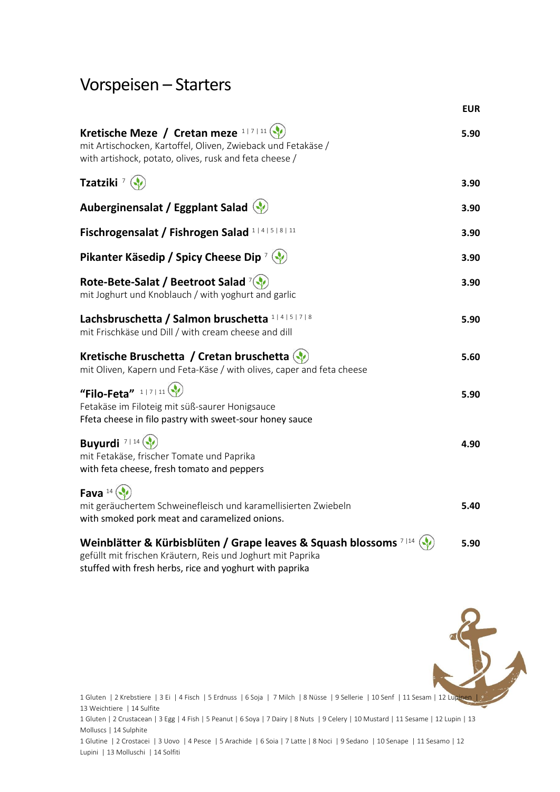### Vorspeisen – Starters

|                                                                                                                                                                 | <b>EUR</b> |
|-----------------------------------------------------------------------------------------------------------------------------------------------------------------|------------|
| Kretische Meze / Cretan meze $1 7 11$<br>mit Artischocken, Kartoffel, Oliven, Zwieback und Fetakäse /<br>with artishock, potato, olives, rusk and feta cheese / | 5.90       |
| Tzatziki <sup>7</sup>                                                                                                                                           | 3.90       |
| Auberginensalat / Eggplant Salad                                                                                                                                | 3.90       |
| Fischrogensalat / Fishrogen Salad 1141518111                                                                                                                    | 3.90       |
| Pikanter Käsedip / Spicy Cheese Dip <sup>7</sup>                                                                                                                | 3.90       |
| Rote-Bete-Salat / Beetroot Salad <sup>7</sup><br>mit Joghurt und Knoblauch / with yoghurt and garlic                                                            | 3.90       |
| Lachsbruschetta / Salmon bruschetta 114151718<br>mit Frischkäse und Dill / with cream cheese and dill                                                           | 5.90       |
| Kretische Bruschetta / Cretan bruschetta (V)<br>mit Oliven, Kapern und Feta-Käse / with olives, caper and feta cheese                                           | 5.60       |
| "Filo-Feta" $1 7 11$<br>Fetakäse im Filoteig mit süß-saurer Honigsauce<br>Ffeta cheese in filo pastry with sweet-sour honey sauce                               | 5.90       |
| Buyurdi $7114$<br>mit Fetakäse, frischer Tomate und Paprika<br>with feta cheese, fresh tomato and peppers                                                       | 4.90       |
| Fava <sup>14 (1</sup><br>mit geräuchertem Schweinefleisch und karamellisierten Zwiebeln<br>with smoked pork meat and caramelized onions.                        | 5.40       |
| Weinblätter & Kürbisblüten / Grape leaves & Squash blossoms <sup>7 14</sup><br>gefüllt mit frischen Kräutern, Reis und Joghurt mit Paprika                      | 5.90       |

stuffed with fresh herbs, rice and yoghurt with paprika



1 Gluten | 2 Crustacean | 3 Egg | 4 Fish | 5 Peanut | 6 Soya | 7 Dairy | 8 Nuts | 9 Celery | 10 Mustard | 11 Sesame | 12 Lupin | 13 Molluscs | 14 Sulphite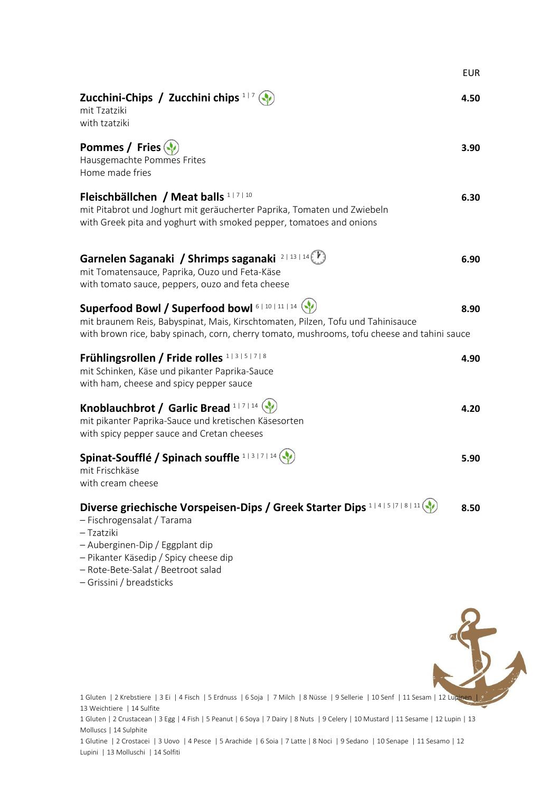|                                                                                                                                                                                                                                                                 | <b>EUR</b> |
|-----------------------------------------------------------------------------------------------------------------------------------------------------------------------------------------------------------------------------------------------------------------|------------|
| Zucchini-Chips / Zucchini chips $^{1/7}$ ( $\sqrt$<br>mit Tzatziki<br>with tzatziki                                                                                                                                                                             | 4.50       |
| Pommes / Fries<br>Hausgemachte Pommes Frites<br>Home made fries                                                                                                                                                                                                 | 3.90       |
| Fleischbällchen / Meat balls 117110<br>mit Pitabrot und Joghurt mit geräucherter Paprika, Tomaten und Zwiebeln<br>with Greek pita and yoghurt with smoked pepper, tomatoes and onions                                                                           | 6.30       |
| Garnelen Saganaki / Shrimps saganaki 2113114<br>mit Tomatensauce, Paprika, Ouzo und Feta-Käse<br>with tomato sauce, peppers, ouzo and feta cheese                                                                                                               | 6.90       |
| Superfood Bowl / Superfood bowl 6   10   11   14<br>mit braunem Reis, Babyspinat, Mais, Kirschtomaten, Pilzen, Tofu und Tahinisauce<br>with brown rice, baby spinach, corn, cherry tomato, mushrooms, tofu cheese and tahini sauce                              | 8.90       |
| Frühlingsrollen / Fride rolles 113151718<br>mit Schinken, Käse und pikanter Paprika-Sauce<br>with ham, cheese and spicy pepper sauce                                                                                                                            | 4.90       |
| Knoblauchbrot / Garlic Bread 117114<br>mit pikanter Paprika-Sauce und kretischen Käsesorten<br>with spicy pepper sauce and Cretan cheeses                                                                                                                       | 4.20       |
| Spinat-Soufflé / Spinach souffle 11317114<br>mit Frischkäse<br>with cream cheese                                                                                                                                                                                | 5.90       |
| Diverse griechische Vorspeisen-Dips / Greek Starter Dips 114151718111<br>- Fischrogensalat / Tarama<br>- Tzatziki<br>- Auberginen-Dip / Eggplant dip<br>- Pikanter Käsedip / Spicy cheese dip<br>- Rote-Bete-Salat / Beetroot salad<br>– Grissini / breadsticks | 8.50       |

1 Gluten | 2 Krebstiere | 3 Ei | 4 Fisch | 5 Erdnuss | 6 Soja | 7 Milch | 8 Nüsse | 9 Sellerie | 10 Senf | 11 Sesam | 12 Lupinen | 3 13 Weichtiere | 14 Sulfite

1 Gluten | 2 Crustacean | 3 Egg | 4 Fish | 5 Peanut | 6 Soya | 7 Dairy | 8 Nuts | 9 Celery | 10 Mustard | 11 Sesame | 12 Lupin | 13 Molluscs | 14 Sulphite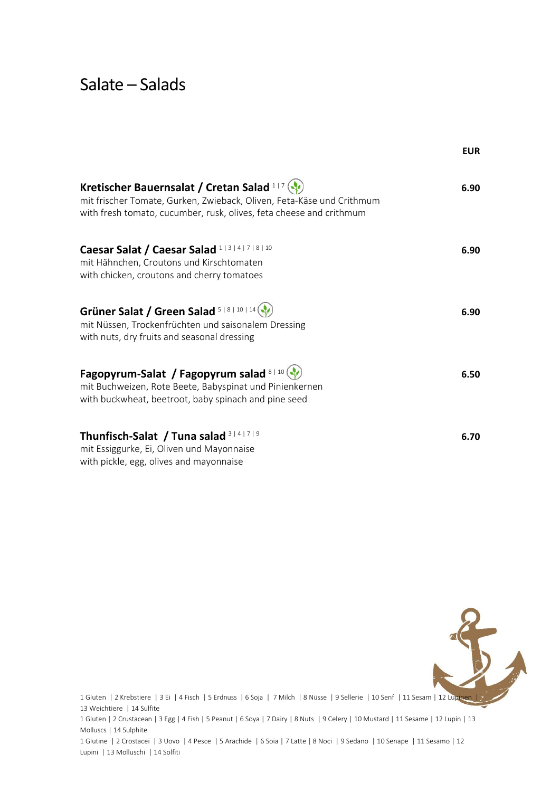## Salate – Salads

| Kretischer Bauernsalat / Cretan Salad 117 (-)<br>mit frischer Tomate, Gurken, Zwieback, Oliven, Feta-Käse und Crithmum<br>with fresh tomato, cucumber, rusk, olives, feta cheese and crithmum | 6.90 |
|-----------------------------------------------------------------------------------------------------------------------------------------------------------------------------------------------|------|
| Caesar Salat / Caesar Salad 113141718110<br>mit Hähnchen, Croutons und Kirschtomaten<br>with chicken, croutons and cherry tomatoes                                                            | 6.90 |
| Grüner Salat / Green Salad 5   8   10   14<br>mit Nüssen, Trockenfrüchten und saisonalem Dressing<br>with nuts, dry fruits and seasonal dressing                                              | 6.90 |
| Fagopyrum-Salat / Fagopyrum salad 8   10<br>mit Buchweizen, Rote Beete, Babyspinat und Pinienkernen<br>with buckwheat, beetroot, baby spinach and pine seed                                   | 6.50 |
| Thunfisch-Salat / Tuna salad 3141719<br>mit Essiggurke, Ei, Oliven und Mayonnaise<br>with pickle, egg, olives and mayonnaise                                                                  | 6.70 |



**EUR**

1 Gluten | 2 Krebstiere | 3 Ei | 4 Fisch | 5 Erdnuss | 6 Soja | 7 Milch | 8 Nüsse | 9 Sellerie | 10 Senf | 11 Sesam | 12 Lupinen | 13 Weichtiere | 14 Sulfite

1 Gluten | 2 Crustacean | 3 Egg | 4 Fish | 5 Peanut | 6 Soya | 7 Dairy | 8 Nuts | 9 Celery | 10 Mustard | 11 Sesame | 12 Lupin | 13 Molluscs | 14 Sulphite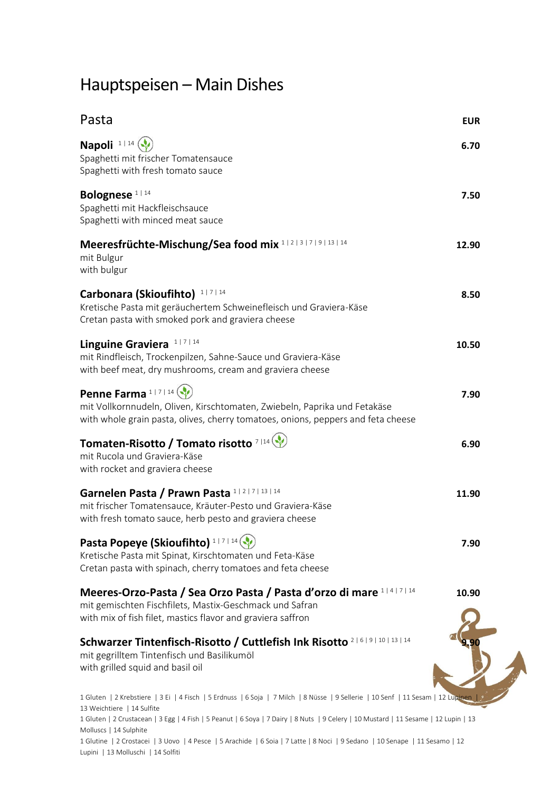# Hauptspeisen – Main Dishes

| Pasta                                                                                                                                                                                                                                                                                                                           | <b>EUR</b> |
|---------------------------------------------------------------------------------------------------------------------------------------------------------------------------------------------------------------------------------------------------------------------------------------------------------------------------------|------------|
| Napoli $1114$<br>Spaghetti mit frischer Tomatensauce<br>Spaghetti with fresh tomato sauce                                                                                                                                                                                                                                       | 6.70       |
| Bolognese <sup>1 14</sup><br>Spaghetti mit Hackfleischsauce<br>Spaghetti with minced meat sauce                                                                                                                                                                                                                                 | 7.50       |
| Meeresfrüchte-Mischung/Sea food mix 112131719113114<br>mit Bulgur<br>with bulgur                                                                                                                                                                                                                                                | 12.90      |
| Carbonara (Skioufihto) 117114<br>Kretische Pasta mit geräuchertem Schweinefleisch und Graviera-Käse<br>Cretan pasta with smoked pork and graviera cheese                                                                                                                                                                        | 8.50       |
| Linguine Graviera 117114<br>mit Rindfleisch, Trockenpilzen, Sahne-Sauce und Graviera-Käse<br>with beef meat, dry mushrooms, cream and graviera cheese                                                                                                                                                                           | 10.50      |
| Penne Farma <sup>1 7 14</sup> (V)<br>mit Vollkornnudeln, Oliven, Kirschtomaten, Zwiebeln, Paprika und Fetakäse<br>with whole grain pasta, olives, cherry tomatoes, onions, peppers and feta cheese                                                                                                                              | 7.90       |
| Tomaten-Risotto / Tomato risotto $7114$<br>mit Rucola und Graviera-Käse<br>with rocket and graviera cheese                                                                                                                                                                                                                      | 6.90       |
| Garnelen Pasta / Prawn Pasta 11217113114<br>mit frischer Tomatensauce, Kräuter-Pesto und Graviera-Käse<br>with fresh tomato sauce, herb pesto and graviera cheese                                                                                                                                                               | 11.90      |
| Pasta Popeye (Skioufihto) 117114 (V)<br>Kretische Pasta mit Spinat, Kirschtomaten und Feta-Käse<br>Cretan pasta with spinach, cherry tomatoes and feta cheese                                                                                                                                                                   | 7.90       |
| Meeres-Orzo-Pasta / Sea Orzo Pasta / Pasta d'orzo di mare 11417114<br>mit gemischten Fischfilets, Mastix-Geschmack und Safran<br>with mix of fish filet, mastics flavor and graviera saffron                                                                                                                                    | 10.90      |
| Schwarzer Tintenfisch-Risotto / Cuttlefish Ink Risotto <sup>2 6 9 10 13 14</sup><br>mit gegrilltem Tintenfisch und Basilikumöl<br>with grilled squid and basil oil                                                                                                                                                              |            |
| 1 Gluten   2 Krebstiere   3 Ei   4 Fisch   5 Erdnuss   6 Soja   7 Milch   8 Nüsse   9 Sellerie   10 Senf   11 Sesam   12 Lupinen<br>13 Weichtiere   14 Sulfite<br>1 Gluten   2 Crustacean   3 Egg   4 Fish   5 Peanut   6 Soya   7 Dairy   8 Nuts   9 Celery   10 Mustard   11 Sesame   12 Lupin   13<br>Molluscs   14 Sulphite |            |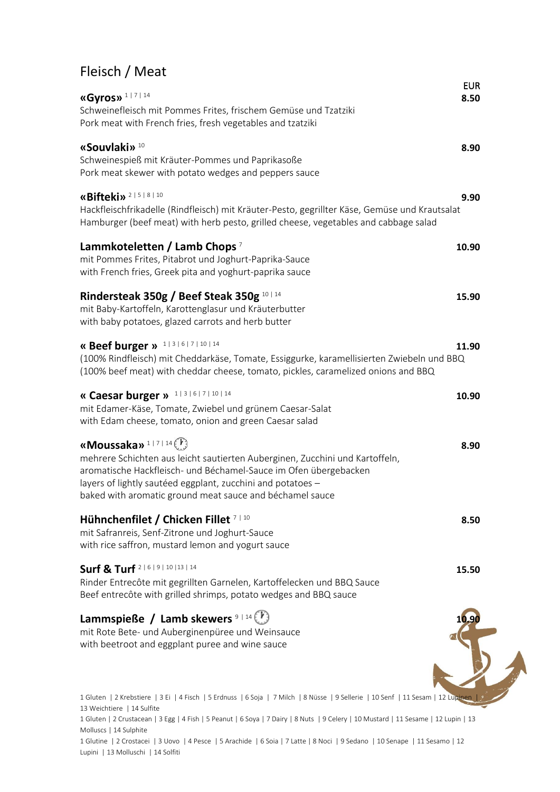### Fleisch / Meat

| «Gyros» $117114$                                                                                                                                                                                                                                                                                   | <b>EUR</b><br>8.50 |
|----------------------------------------------------------------------------------------------------------------------------------------------------------------------------------------------------------------------------------------------------------------------------------------------------|--------------------|
| Schweinefleisch mit Pommes Frites, frischem Gemüse und Tzatziki<br>Pork meat with French fries, fresh vegetables and tzatziki                                                                                                                                                                      |                    |
| «Souvlaki» <sup>10</sup><br>Schweinespieß mit Kräuter-Pommes und Paprikasoße<br>Pork meat skewer with potato wedges and peppers sauce                                                                                                                                                              | 8.90               |
| «Bifteki» <sup>21518110</sup><br>Hackfleischfrikadelle (Rindfleisch) mit Kräuter-Pesto, gegrillter Käse, Gemüse und Krautsalat<br>Hamburger (beef meat) with herb pesto, grilled cheese, vegetables and cabbage salad                                                                              | 9.90               |
| Lammkoteletten / Lamb Chops $^7$<br>mit Pommes Frites, Pitabrot und Joghurt-Paprika-Sauce<br>with French fries, Greek pita and yoghurt-paprika sauce                                                                                                                                               | 10.90              |
| Rindersteak 350g / Beef Steak 350g 10   14<br>mit Baby-Kartoffeln, Karottenglasur und Kräuterbutter<br>with baby potatoes, glazed carrots and herb butter                                                                                                                                          | 15.90              |
| « Beef burger » $1 3 6 7 10 14$<br>(100% Rindfleisch) mit Cheddarkäse, Tomate, Essiggurke, karamellisierten Zwiebeln und BBQ<br>(100% beef meat) with cheddar cheese, tomato, pickles, caramelized onions and BBQ                                                                                  | 11.90              |
| « Caesar burger » 1131617110114<br>mit Edamer-Käse, Tomate, Zwiebel und grünem Caesar-Salat<br>with Edam cheese, tomato, onion and green Caesar salad                                                                                                                                              | 10.90              |
| «Moussaka» $117114$<br>mehrere Schichten aus leicht sautierten Auberginen, Zucchini und Kartoffeln,<br>aromatische Hackfleisch- und Béchamel-Sauce im Ofen übergebacken<br>layers of lightly sautéed eggplant, zucchini and potatoes -<br>baked with aromatic ground meat sauce and béchamel sauce | 8.90               |
| Hühnchenfilet / Chicken Fillet $^{7+10}$<br>mit Safranreis, Senf-Zitrone und Joghurt-Sauce<br>with rice saffron, mustard lemon and yogurt sauce                                                                                                                                                    | 8.50               |
| Surf & Turf <sup>2   6   9   10   13   14</sup><br>Rinder Entrecôte mit gegrillten Garnelen, Kartoffelecken und BBQ Sauce<br>Beef entrecôte with grilled shrimps, potato wedges and BBQ sauce                                                                                                      | 15.50              |
| Lammspieße / Lamb skewers $9+14$<br>mit Rote Bete- und Auberginenpüree und Weinsauce<br>with beetroot and eggplant puree and wine sauce                                                                                                                                                            | 10.91              |
| 1 Gluten   2 Krebstiere   3 Ei   4 Fisch   5 Erdnuss   6 Soja   7 Milch   8 Nüsse   9 Sellerie   10 Senf   11 Sesam   12 Lupinen<br>13 Weichtiere   14 Sulfite                                                                                                                                     |                    |

1 Gluten | 2 Crustacean | 3 Egg | 4 Fish | 5 Peanut | 6 Soya | 7 Dairy | 8 Nuts | 9 Celery | 10 Mustard | 11 Sesame | 12 Lupin | 13 Molluscs | 14 Sulphite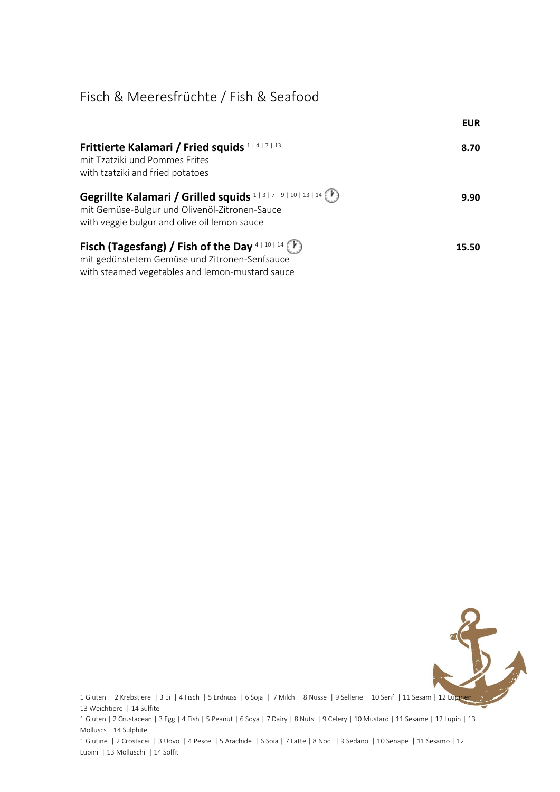#### Fisch & Meeresfrüchte / Fish & Seafood

|                                                                                                                                                           | <b>EUR</b> |
|-----------------------------------------------------------------------------------------------------------------------------------------------------------|------------|
| Frittierte Kalamari / Fried squids 11417113<br>mit Tzatziki und Pommes Frites<br>with tzatziki and fried potatoes                                         | 8.70       |
| Gegrillte Kalamari / Grilled squids 1 3 7 9 10 13 14 (F)<br>mit Gemüse-Bulgur und Olivenöl-Zitronen-Sauce<br>with veggie bulgur and olive oil lemon sauce | 9.90       |
| Fisch (Tagesfang) / Fish of the Day 4   10   14 $(V)$<br>mit gedünstetem Gemüse und Zitronen-Senfsauce<br>with steamed vegetables and lemon-mustard sauce | 15.50      |



1 Gluten | 2 Krebstiere | 3 Ei | 4 Fisch | 5 Erdnuss | 6 Soja | 7 Milch | 8 Nüsse | 9 Sellerie | 10 Senf | 11 Sesam | 12 Lupinen | 3 13 Weichtiere | 14 Sulfite

1 Gluten | 2 Crustacean | 3 Egg | 4 Fish | 5 Peanut | 6 Soya | 7 Dairy | 8 Nuts | 9 Celery | 10 Mustard | 11 Sesame | 12 Lupin | 13 Molluscs | 14 Sulphite